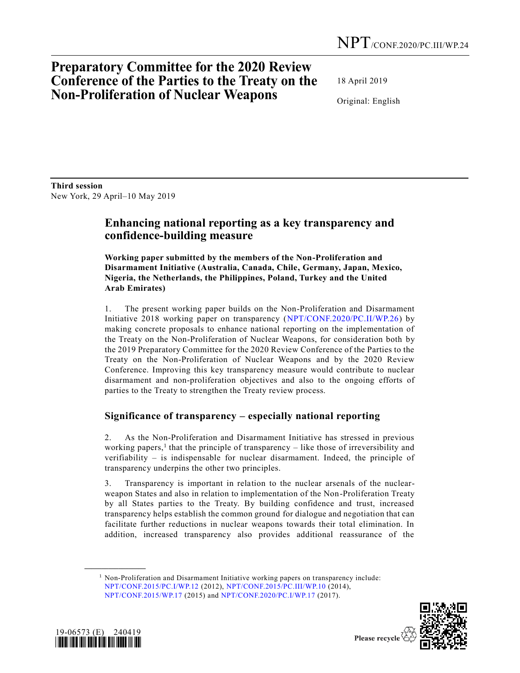# **Preparatory Committee for the 2020 Review Conference of the Parties to the Treaty on the Non-Proliferation of Nuclear Weapons**

18 April 2019

Original: English

**Third session**  New York, 29 April–10 May 2019

## **Enhancing national reporting as a key transparency and confidence-building measure**

**Working paper submitted by the members of the Non-Proliferation and Disarmament Initiative (Australia, Canada, Chile, Germany, Japan, Mexico, Nigeria, the Netherlands, the Philippines, Poland, Turkey and the United Arab Emirates)**

1. The present working paper builds on the Non-Proliferation and Disarmament Initiative 2018 working paper on transparency [\(NPT/CONF.2020/PC.II/WP.26\)](https://undocs.org/NPT/CONF.2020/PC.II/WP.26) by making concrete proposals to enhance national reporting on the implementation of the Treaty on the Non-Proliferation of Nuclear Weapons, for consideration both by the 2019 Preparatory Committee for the 2020 Review Conference of the Parties to the Treaty on the Non-Proliferation of Nuclear Weapons and by the 2020 Review Conference. Improving this key transparency measure would contribute to nuclear disarmament and non-proliferation objectives and also to the ongoing efforts of parties to the Treaty to strengthen the Treaty review process.

## **Significance of transparency – especially national reporting**

2. As the Non-Proliferation and Disarmament Initiative has stressed in previous working papers,<sup>1</sup> that the principle of transparency  $-$  like those of irreversibility and verifiability – is indispensable for nuclear disarmament. Indeed, the principle of transparency underpins the other two principles.

3. Transparency is important in relation to the nuclear arsenals of the nuclearweapon States and also in relation to implementation of the Non-Proliferation Treaty by all States parties to the Treaty. By building confidence and trust, increased transparency helps establish the common ground for dialogue and negotiation that can facilitate further reductions in nuclear weapons towards their total elimination. In addition, increased transparency also provides additional reassurance of the

 $1$  Non-Proliferation and Disarmament Initiative working papers on transparency include: [NPT/CONF.2015/PC.I/WP.12](https://undocs.org/NPT/CONF.2015/PC.I/WP.12) (2012), [NPT/CONF.2015/PC.III/WP.10](https://undocs.org/NPT/CONF.2015/PC.III/WP.10) (2014), [NPT/CONF.2015/WP.17](https://undocs.org/NPT/CONF.2015/WP.17) (2015) and [NPT/CONF.2020/PC.I/WP.17](https://undocs.org/NPT/CONF.2020/PC.I/WP.17) (2017).



**\_\_\_\_\_\_\_\_\_\_\_\_\_\_\_\_\_\_**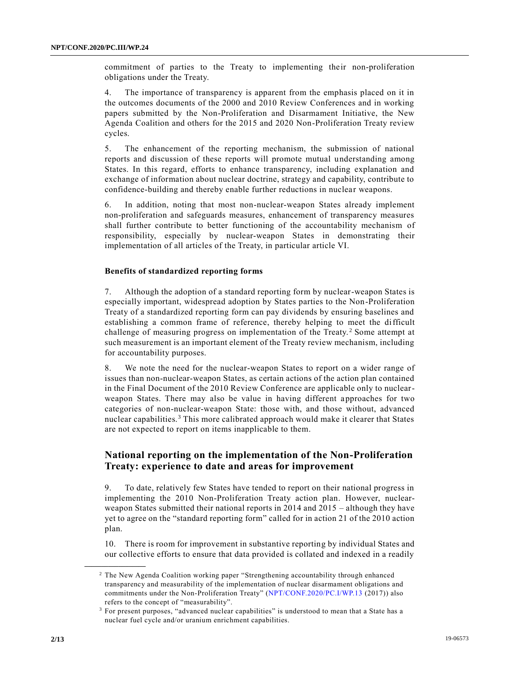commitment of parties to the Treaty to implementing their non-proliferation obligations under the Treaty.

4. The importance of transparency is apparent from the emphasis placed on it in the outcomes documents of the 2000 and 2010 Review Conferences and in working papers submitted by the Non-Proliferation and Disarmament Initiative, the New Agenda Coalition and others for the 2015 and 2020 Non-Proliferation Treaty review cycles.

5. The enhancement of the reporting mechanism, the submission of national reports and discussion of these reports will promote mutual understanding among States. In this regard, efforts to enhance transparency, including explanation and exchange of information about nuclear doctrine, strategy and capability, contribute to confidence-building and thereby enable further reductions in nuclear weapons.

6. In addition, noting that most non-nuclear-weapon States already implement non-proliferation and safeguards measures, enhancement of transparency measures shall further contribute to better functioning of the accountability mechanism of responsibility, especially by nuclear-weapon States in demonstrating their implementation of all articles of the Treaty, in particular article VI.

#### **Benefits of standardized reporting forms**

7. Although the adoption of a standard reporting form by nuclear-weapon States is especially important, widespread adoption by States parties to the Non-Proliferation Treaty of a standardized reporting form can pay dividends by ensuring baselines and establishing a common frame of reference, thereby helping to meet the difficult challenge of measuring progress on implementation of the Treaty.<sup>2</sup> Some attempt at such measurement is an important element of the Treaty review mechanism, including for accountability purposes.

8. We note the need for the nuclear-weapon States to report on a wider range of issues than non-nuclear-weapon States, as certain actions of the action plan contained in the Final Document of the 2010 Review Conference are applicable only to nuclearweapon States. There may also be value in having different approaches for two categories of non-nuclear-weapon State: those with, and those without, advanced nuclear capabilities.<sup>3</sup> This more calibrated approach would make it clearer that States are not expected to report on items inapplicable to them.

### **National reporting on the implementation of the Non-Proliferation Treaty: experience to date and areas for improvement**

9. To date, relatively few States have tended to report on their national progress in implementing the 2010 Non-Proliferation Treaty action plan. However, nuclearweapon States submitted their national reports in 2014 and 2015 – although they have yet to agree on the "standard reporting form" called for in action 21 of the 2010 action plan.

10. There is room for improvement in substantive reporting by individual States and our collective efforts to ensure that data provided is collated and indexed in a readily

**\_\_\_\_\_\_\_\_\_\_\_\_\_\_\_\_\_\_**

<sup>&</sup>lt;sup>2</sup> The New Agenda Coalition working paper "Strengthening accountability through enhanced transparency and measurability of the implementation of nuclear disarmament obligations and commitments under the Non-Proliferation Treaty" [\(NPT/CONF.2020/PC.I/WP.13](https://undocs.org/NPT/CONF.2020/PC.I/WP.13) (2017)) also refers to the concept of "measurability".

<sup>&</sup>lt;sup>3</sup> For present purposes, "advanced nuclear capabilities" is understood to mean that a State has a nuclear fuel cycle and/or uranium enrichment capabilities.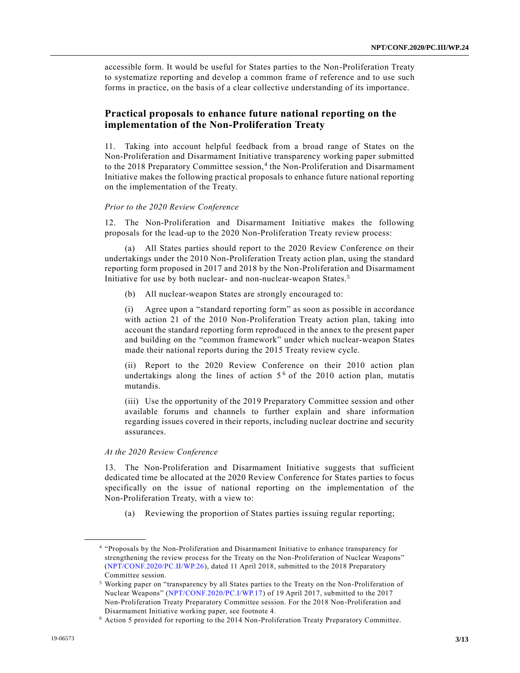accessible form. It would be useful for States parties to the Non-Proliferation Treaty to systematize reporting and develop a common frame of reference and to use such forms in practice, on the basis of a clear collective understanding of its importance.

### **Practical proposals to enhance future national reporting on the implementation of the Non-Proliferation Treaty**

11. Taking into account helpful feedback from a broad range of States on the Non-Proliferation and Disarmament Initiative transparency working paper submitted to the 2018 Preparatory Committee session,<sup>4</sup> the Non-Proliferation and Disarmament Initiative makes the following practical proposals to enhance future national reporting on the implementation of the Treaty.

#### *Prior to the 2020 Review Conference*

12. The Non-Proliferation and Disarmament Initiative makes the following proposals for the lead-up to the 2020 Non-Proliferation Treaty review process:

(a) All States parties should report to the 2020 Review Conference on their undertakings under the 2010 Non-Proliferation Treaty action plan, using the standard reporting form proposed in 2017 and 2018 by the Non-Proliferation and Disarmament Initiative for use by both nuclear- and non-nuclear-weapon States.<sup>5</sup>

(b) All nuclear-weapon States are strongly encouraged to:

(i) Agree upon a "standard reporting form" as soon as possible in accordance with action 21 of the 2010 Non-Proliferation Treaty action plan, taking into account the standard reporting form reproduced in the annex to the present paper and building on the "common framework" under which nuclear-weapon States made their national reports during the 2015 Treaty review cycle.

(ii) Report to the 2020 Review Conference on their 2010 action plan undertakings along the lines of action  $5<sup>6</sup>$  of the 2010 action plan, mutatis mutandis.

(iii) Use the opportunity of the 2019 Preparatory Committee session and other available forums and channels to further explain and share information regarding issues covered in their reports, including nuclear doctrine and security assurances.

#### *At the 2020 Review Conference*

**\_\_\_\_\_\_\_\_\_\_\_\_\_\_\_\_\_\_**

13. The Non-Proliferation and Disarmament Initiative suggests that sufficient dedicated time be allocated at the 2020 Review Conference for States parties to focus specifically on the issue of national reporting on the implementation of the Non-Proliferation Treaty, with a view to:

(a) Reviewing the proportion of States parties issuing regular reporting;

<sup>4</sup> "Proposals by the Non-Proliferation and Disarmament Initiative to enhance transparency for strengthening the review process for the Treaty on the Non-Proliferation of Nuclear Weapons" [\(NPT/CONF.2020/PC.II/WP.26\)](https://undocs.org/NPT/CONF.2020/PC.II/WP.26), dated 11 April 2018, submitted to the 2018 Preparatory Committee session.

<sup>5</sup> Working paper on "transparency by all States parties to the Treaty on the Non-Proliferation of Nuclear Weapons" [\(NPT/CONF.2020/PC.I/WP.17\)](https://undocs.org/NPT/CONF.2020/PC.I/WP.17) of 19 April 2017, submitted to the 2017 Non-Proliferation Treaty Preparatory Committee session. For the 2018 Non-Proliferation and Disarmament Initiative working paper, see footnote 4.

<sup>6</sup> Action 5 provided for reporting to the 2014 Non-Proliferation Treaty Preparatory Committee.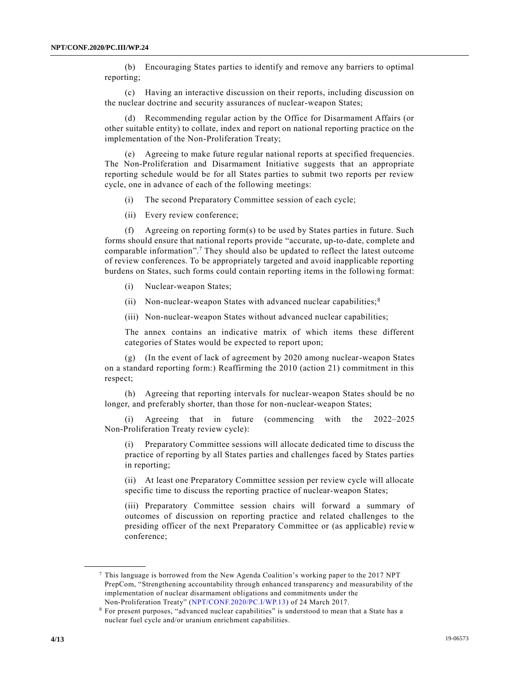(b) Encouraging States parties to identify and remove any barriers to optimal reporting;

(c) Having an interactive discussion on their reports, including discussion on the nuclear doctrine and security assurances of nuclear-weapon States;

(d) Recommending regular action by the Office for Disarmament Affairs (or other suitable entity) to collate, index and report on national reporting practice on the implementation of the Non-Proliferation Treaty;

(e) Agreeing to make future regular national reports at specified frequencies. The Non-Proliferation and Disarmament Initiative suggests that an appropriate reporting schedule would be for all States parties to submit two reports per review cycle, one in advance of each of the following meetings:

(i) The second Preparatory Committee session of each cycle;

(ii) Every review conference;

(f) Agreeing on reporting form(s) to be used by States parties in future. Such forms should ensure that national reports provide "accurate, up-to-date, complete and comparable information".<sup>7</sup> They should also be updated to reflect the latest outcome of review conferences. To be appropriately targeted and avoid inapplicable reporting burdens on States, such forms could contain reporting items in the following format:

(i) Nuclear-weapon States;

(ii) Non-nuclear-weapon States with advanced nuclear capabilities;  $8<sup>8</sup>$ 

(iii) Non-nuclear-weapon States without advanced nuclear capabilities;

The annex contains an indicative matrix of which items these different categories of States would be expected to report upon;

(g) (In the event of lack of agreement by 2020 among nuclear-weapon States on a standard reporting form:) Reaffirming the 2010 (action 21) commitment in this respect;

(h) Agreeing that reporting intervals for nuclear-weapon States should be no longer, and preferably shorter, than those for non-nuclear-weapon States;

(i) Agreeing that in future (commencing with the 2022–2025 Non-Proliferation Treaty review cycle):

(i) Preparatory Committee sessions will allocate dedicated time to discuss the practice of reporting by all States parties and challenges faced by States parties in reporting;

(ii) At least one Preparatory Committee session per review cycle will allocate specific time to discuss the reporting practice of nuclear-weapon States;

(iii) Preparatory Committee session chairs will forward a summary of outcomes of discussion on reporting practice and related challenges to the presiding officer of the next Preparatory Committee or (as applicable) revie w conference;

**\_\_\_\_\_\_\_\_\_\_\_\_\_\_\_\_\_\_**

<sup>7</sup> This language is borrowed from the New Agenda Coalition's working paper to the 2017 NPT PrepCom, "Strengthening accountability through enhanced transparency and measurability of the implementation of nuclear disarmament obligations and commitments under the Non-Proliferation Treaty" [\(NPT/CONF.2020/PC.I/WP.13\)](https://undocs.org/NPT/CONF.2020/PC.I/WP.13) of 24 March 2017.

<sup>8</sup> For present purposes, "advanced nuclear capabilities" is understood to mean that a State has a nuclear fuel cycle and/or uranium enrichment capabilities.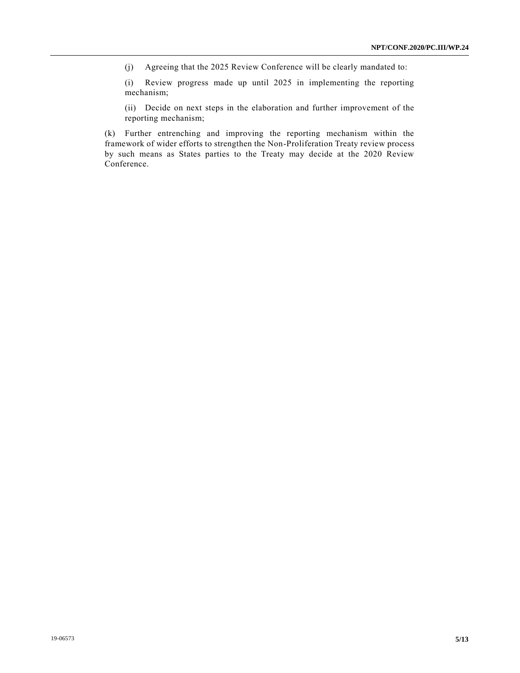(j) Agreeing that the 2025 Review Conference will be clearly mandated to:

(i) Review progress made up until 2025 in implementing the reporting mechanism;

(ii) Decide on next steps in the elaboration and further improvement of the reporting mechanism;

(k) Further entrenching and improving the reporting mechanism within the framework of wider efforts to strengthen the Non-Proliferation Treaty review process by such means as States parties to the Treaty may decide at the 2020 Review Conference.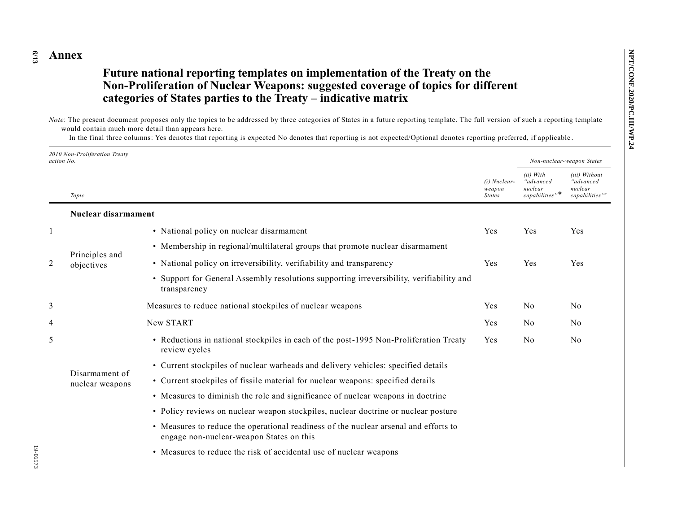#### **6 /13 Annex**

## **Future national reporting templates on implementation of the Treaty on the Non-Proliferation of Nuclear Weapons: suggested coverage of topics for different categories of States parties to the Treaty – indicative matrix**

*Note*: The present document proposes only the topics to be addressed by three categories of States in a future reporting template. The full version of such a reporting template would contain much more detail than appears here.

In the final three columns: Yes denotes that reporting is expected No denotes that reporting is not expected/Optional denotes reporting preferred, if applicable .

| 2010 Non-Proliferation Treatv<br>action No. |                                   |                                                                                                                                  |                                         | Non-nuclear-weapon States                              |                                                                     |
|---------------------------------------------|-----------------------------------|----------------------------------------------------------------------------------------------------------------------------------|-----------------------------------------|--------------------------------------------------------|---------------------------------------------------------------------|
|                                             | Topic                             |                                                                                                                                  | (i) Nuclear-<br>weapon<br><b>States</b> | (ii) With<br>advanced"<br>nuclear<br>$capabilities$ "* | (iii) Without<br>"advanced<br>nuclear<br>capabilities" <sup>a</sup> |
|                                             | Nuclear disarmament               |                                                                                                                                  |                                         |                                                        |                                                                     |
| $\mathbf{1}$                                |                                   | • National policy on nuclear disarmament                                                                                         | Yes                                     | Yes                                                    | Yes                                                                 |
|                                             |                                   | • Membership in regional/multilateral groups that promote nuclear disarmament                                                    |                                         |                                                        |                                                                     |
| 2                                           | Principles and<br>objectives      | • National policy on irreversibility, verifiability and transparency                                                             | Yes                                     | Yes                                                    | Yes                                                                 |
|                                             |                                   | • Support for General Assembly resolutions supporting irreversibility, verifiability and<br>transparency                         |                                         |                                                        |                                                                     |
| 3                                           |                                   | Measures to reduce national stockpiles of nuclear weapons                                                                        | Yes                                     | N <sub>0</sub>                                         | No                                                                  |
| 4                                           |                                   | New START                                                                                                                        | Yes                                     | N <sub>0</sub>                                         | N <sub>0</sub>                                                      |
| 5                                           |                                   | • Reductions in national stockpiles in each of the post-1995 Non-Proliferation Treaty<br>review cycles                           | Yes                                     | N <sub>o</sub>                                         | N <sub>0</sub>                                                      |
|                                             | Disarmament of<br>nuclear weapons | • Current stockpiles of nuclear warheads and delivery vehicles: specified details                                                |                                         |                                                        |                                                                     |
|                                             |                                   | • Current stockpiles of fissile material for nuclear weapons: specified details                                                  |                                         |                                                        |                                                                     |
|                                             |                                   | • Measures to diminish the role and significance of nuclear weapons in doctrine                                                  |                                         |                                                        |                                                                     |
|                                             |                                   | • Policy reviews on nuclear weapon stockpiles, nuclear doctrine or nuclear posture                                               |                                         |                                                        |                                                                     |
|                                             |                                   | • Measures to reduce the operational readiness of the nuclear arsenal and efforts to<br>engage non-nuclear-weapon States on this |                                         |                                                        |                                                                     |
|                                             |                                   | • Measures to reduce the risk of accidental use of nuclear weapons                                                               |                                         |                                                        |                                                                     |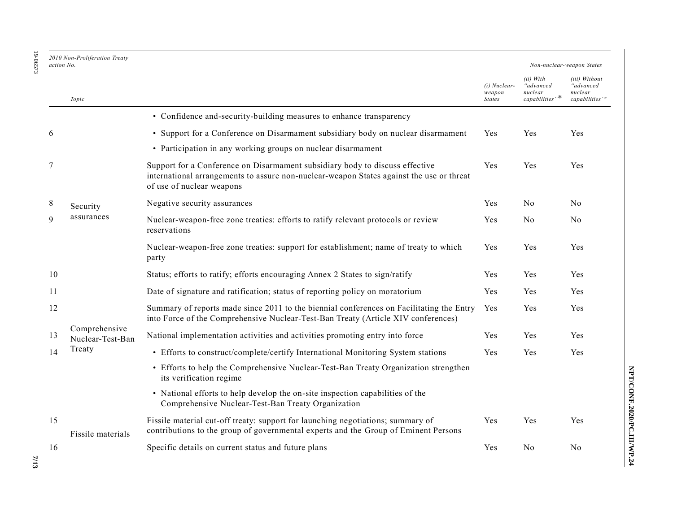| 2010 Non-Proliferation Treaty<br>action No. |                                                           |
|---------------------------------------------|-----------------------------------------------------------|
| Topic                                       |                                                           |
|                                             | • Confidence and-security-building measures to enhance tr |
|                                             | • Support for a Conference on Disarmament subsidiary boom |
|                                             | • Particination in any working groups on nuclear disarmam |

|        |                                   | • Confidence and-security-building measures to enhance transparency                                                                                                                                   |     |                |                |
|--------|-----------------------------------|-------------------------------------------------------------------------------------------------------------------------------------------------------------------------------------------------------|-----|----------------|----------------|
| 6      |                                   | • Support for a Conference on Disarmament subsidiary body on nuclear disarmament                                                                                                                      | Yes | Yes            | Yes            |
|        |                                   | • Participation in any working groups on nuclear disarmament                                                                                                                                          |     |                |                |
| $\tau$ |                                   | Support for a Conference on Disarmament subsidiary body to discuss effective<br>international arrangements to assure non-nuclear-weapon States against the use or threat<br>of use of nuclear weapons | Yes | Yes            | Yes            |
| 8      | Security                          | Negative security assurances                                                                                                                                                                          | Yes | N <sub>0</sub> | N <sub>o</sub> |
| 9      | assurances                        | Nuclear-weapon-free zone treaties: efforts to ratify relevant protocols or review<br>reservations                                                                                                     | Yes | No             | No             |
|        |                                   | Nuclear-weapon-free zone treaties: support for establishment; name of treaty to which<br>party                                                                                                        | Yes | Yes            | Yes            |
| 10     |                                   | Status; efforts to ratify; efforts encouraging Annex 2 States to sign/ratify                                                                                                                          | Yes | Yes            | Yes            |
| 11     |                                   | Date of signature and ratification; status of reporting policy on moratorium                                                                                                                          | Yes | Yes            | Yes            |
| 12     |                                   | Summary of reports made since 2011 to the biennial conferences on Facilitating the Entry<br>into Force of the Comprehensive Nuclear-Test-Ban Treaty (Article XIV conferences)                         | Yes | Yes            | Yes            |
| 13     | Comprehensive<br>Nuclear-Test-Ban | National implementation activities and activities promoting entry into force                                                                                                                          | Yes | Yes            | Yes            |
| 14     | Treaty                            | • Efforts to construct/complete/certify International Monitoring System stations                                                                                                                      | Yes | Yes            | Yes            |
|        |                                   | • Efforts to help the Comprehensive Nuclear-Test-Ban Treaty Organization strengthen<br>its verification regime                                                                                        |     |                |                |
|        |                                   | • National efforts to help develop the on-site inspection capabilities of the<br>Comprehensive Nuclear-Test-Ban Treaty Organization                                                                   |     |                |                |
| 15     | Fissile materials                 | Fissile material cut-off treaty: support for launching negotiations; summary of<br>contributions to the group of governmental experts and the Group of Eminent Persons                                | Yes | Yes            | Yes            |
| 16     |                                   | Specific details on current status and future plans                                                                                                                                                   | Yes | N <sub>0</sub> | N <sub>o</sub> |

19-06573 19-06573

*action No. Non-nuclear-weapon States*

*(iii) Without "advanced nuclear capabilities" a*

*(ii) With "advanced nuclear capabilities"*\*

*(i) Nuclear-weapon States*

**7/13**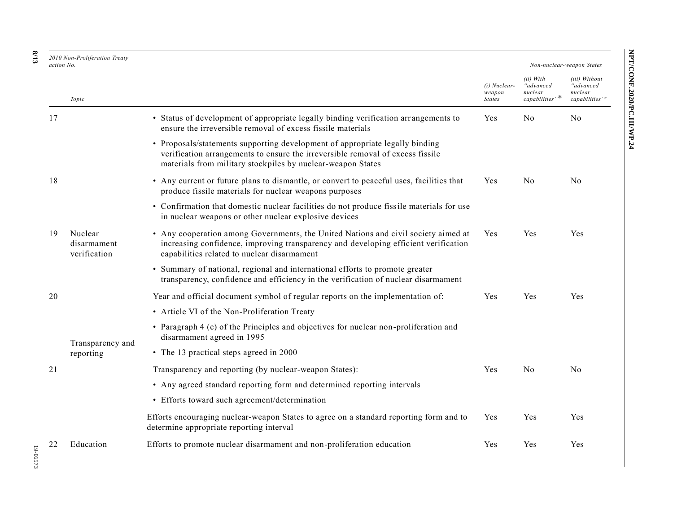| Non-nuclear-weapon States<br>i) With<br>advanced<br>uclear<br>upabilities "* | (iii) Without<br>"advanced<br>nuclear<br>capabilities" <sup>a</sup> |                            |  |
|------------------------------------------------------------------------------|---------------------------------------------------------------------|----------------------------|--|
| Jο                                                                           | No                                                                  | NPT/CONF.2020/PC.III/WP.24 |  |

*(i) Nuclear-weapon States*

*(ii) With "advanced nuclear capabilities"*\*

Yes No No

Yes No No

Yes Yes Yes

| 2010 Non-Proliferation Treaty<br>action No.  |                                                                                                                                                                                                                               |  |  |  |  |
|----------------------------------------------|-------------------------------------------------------------------------------------------------------------------------------------------------------------------------------------------------------------------------------|--|--|--|--|
| Topic                                        |                                                                                                                                                                                                                               |  |  |  |  |
| 17                                           | • Status of development of appropriate legally binding verification arrangements to<br>ensure the irreversible removal of excess fissile materials                                                                            |  |  |  |  |
|                                              | • Proposals/statements supporting development of appropriate legally binding<br>verification arrangements to ensure the irreversible removal of excess fissile<br>materials from military stockpiles by nuclear-weapon States |  |  |  |  |
| 18                                           | • Any current or future plans to dismantle, or convert to peaceful uses, facilities that<br>produce fissile materials for nuclear weapons purposes                                                                            |  |  |  |  |
|                                              | • Confirmation that domestic nuclear facilities do not produce fissile materials for use<br>in nuclear weapons or other nuclear explosive devices                                                                             |  |  |  |  |
| Nuclear<br>19<br>disarmament<br>verification | • Any cooperation among Governments, the United Nations and civil society aimed at<br>increasing confidence, improving transparency and developing efficient verification<br>capabilities related to nuclear disarmament      |  |  |  |  |
|                                              | • Summary of national, regional and international efforts to promote greater<br>transparency, confidence and efficiency in the verification of nuclear disarmament                                                            |  |  |  |  |

|    |                  | • Summary of national, regional and international efforts to promote greater<br>transparency, confidence and efficiency in the verification of nuclear disarmament |            |            |     |
|----|------------------|--------------------------------------------------------------------------------------------------------------------------------------------------------------------|------------|------------|-----|
| 20 |                  | Year and official document symbol of regular reports on the implementation of:                                                                                     | Yes        | <b>Yes</b> | Yes |
|    |                  | • Article VI of the Non-Proliferation Treaty                                                                                                                       |            |            |     |
|    | Transparency and | • Paragraph 4 (c) of the Principles and objectives for nuclear non-proliferation and<br>disarmament agreed in 1995                                                 |            |            |     |
|    | reporting        | • The 13 practical steps agreed in 2000                                                                                                                            |            |            |     |
| 21 |                  | Transparency and reporting (by nuclear-weapon States):                                                                                                             | <b>Yes</b> | No.        | No. |
|    |                  | • Any agreed standard reporting form and determined reporting intervals                                                                                            |            |            |     |
|    |                  | • Efforts toward such agreement/determination                                                                                                                      |            |            |     |
|    |                  | Efforts encouraging nuclear-weapon States to agree on a standard reporting form and to<br>determine appropriate reporting interval                                 | Yes        | <b>Yes</b> | Yes |
| 22 | Education        | Efforts to promote nuclear disarmament and non-proliferation education                                                                                             | Yes        | Yes        | Yes |
|    |                  |                                                                                                                                                                    |            |            |     |

**8 /13**

20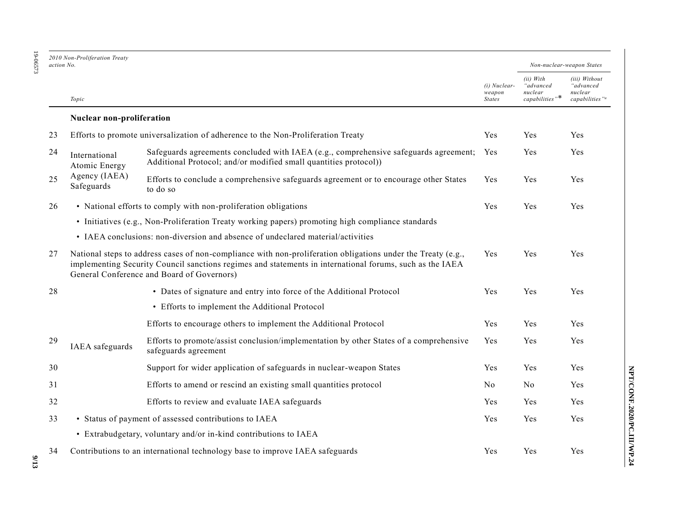19-06573

19-06573

|    | 2010 Non-Proliferation Treaty<br>action No. |                                                                                                                                                                                                                                                                        |                                         | Non-nuclear-weapon States                              |                                                                     |
|----|---------------------------------------------|------------------------------------------------------------------------------------------------------------------------------------------------------------------------------------------------------------------------------------------------------------------------|-----------------------------------------|--------------------------------------------------------|---------------------------------------------------------------------|
|    | Topic                                       |                                                                                                                                                                                                                                                                        | (i) Nuclear-<br>weapon<br><b>States</b> | (ii) With<br>"advanced<br>nuclear<br>$capabilities$ "* | (iii) Without<br>"advanced<br>nuclear<br>capabilities" <sup>a</sup> |
|    | Nuclear non-proliferation                   |                                                                                                                                                                                                                                                                        |                                         |                                                        |                                                                     |
| 23 |                                             | Efforts to promote universalization of adherence to the Non-Proliferation Treaty                                                                                                                                                                                       | Yes                                     | Yes                                                    | Yes                                                                 |
| 24 | International<br>Atomic Energy              | Safeguards agreements concluded with IAEA (e.g., comprehensive safeguards agreement;<br>Additional Protocol; and/or modified small quantities protocol))                                                                                                               | Yes                                     | Yes                                                    | Yes                                                                 |
| 25 | Agency (IAEA)<br>Safeguards                 | Efforts to conclude a comprehensive safeguards agreement or to encourage other States<br>to do so                                                                                                                                                                      | Yes                                     | Yes                                                    | Yes                                                                 |
| 26 |                                             | • National efforts to comply with non-proliferation obligations                                                                                                                                                                                                        | Yes                                     | Yes                                                    | Yes                                                                 |
|    |                                             | • Initiatives (e.g., Non-Proliferation Treaty working papers) promoting high compliance standards                                                                                                                                                                      |                                         |                                                        |                                                                     |
|    |                                             | • IAEA conclusions: non-diversion and absence of undeclared material/activities                                                                                                                                                                                        |                                         |                                                        |                                                                     |
| 27 |                                             | National steps to address cases of non-compliance with non-proliferation obligations under the Treaty (e.g.,<br>implementing Security Council sanctions regimes and statements in international forums, such as the IAEA<br>General Conference and Board of Governors) | Yes                                     | Yes                                                    | Yes                                                                 |
| 28 |                                             | • Dates of signature and entry into force of the Additional Protocol                                                                                                                                                                                                   | Yes                                     | Yes                                                    | Yes                                                                 |
|    |                                             | • Efforts to implement the Additional Protocol                                                                                                                                                                                                                         |                                         |                                                        |                                                                     |
|    |                                             | Efforts to encourage others to implement the Additional Protocol                                                                                                                                                                                                       | Yes                                     | Yes                                                    | Yes                                                                 |
| 29 | IAEA safeguards                             | Efforts to promote/assist conclusion/implementation by other States of a comprehensive<br>safeguards agreement                                                                                                                                                         | Yes                                     | Yes                                                    | Yes                                                                 |
| 30 |                                             | Support for wider application of safeguards in nuclear-weapon States                                                                                                                                                                                                   | Yes                                     | Yes                                                    | Yes                                                                 |
| 31 |                                             | Efforts to amend or rescind an existing small quantities protocol                                                                                                                                                                                                      | No                                      | N <sub>o</sub>                                         | Yes                                                                 |
| 32 |                                             | Efforts to review and evaluate IAEA safeguards                                                                                                                                                                                                                         | Yes                                     | Yes                                                    | Yes                                                                 |
| 33 |                                             | • Status of payment of assessed contributions to IAEA                                                                                                                                                                                                                  | Yes                                     | Yes                                                    | Yes                                                                 |
|    |                                             | • Extrabudgetary, voluntary and/or in-kind contributions to IAEA                                                                                                                                                                                                       |                                         |                                                        |                                                                     |
| 34 |                                             | Contributions to an international technology base to improve IAEA safeguards                                                                                                                                                                                           | Yes                                     | Yes                                                    | Yes                                                                 |

NPT/CONF.2020/PC.III/WP.24 **NPT/CONF.2020/PC.III/WP.24**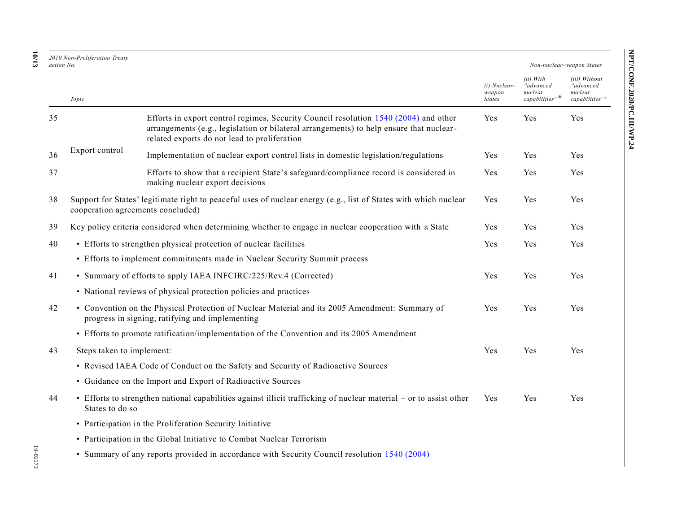| 2010 Non-Proliferation Treaty<br>action No. |                           |                                                                                                                                                                                                                                 |                                         |                                                                             | Non-nuclear-weapon States                                           |
|---------------------------------------------|---------------------------|---------------------------------------------------------------------------------------------------------------------------------------------------------------------------------------------------------------------------------|-----------------------------------------|-----------------------------------------------------------------------------|---------------------------------------------------------------------|
|                                             | Topic                     |                                                                                                                                                                                                                                 | (i) Nuclear-<br>weapon<br><b>States</b> | (ii) With<br>"advanced<br>nuclear<br>$capabilities$ $\cdot\hspace{-1.5mm}*$ | (iii) Without<br>"advanced<br>nuclear<br>capabilities" <sup>a</sup> |
| 35                                          |                           | Efforts in export control regimes, Security Council resolution 1540 (2004) and other<br>arrangements (e.g., legislation or bilateral arrangements) to help ensure that nuclear-<br>related exports do not lead to proliferation | Yes                                     | Yes                                                                         | Yes                                                                 |
| 36                                          | Export control            | Implementation of nuclear export control lists in domestic legislation/regulations                                                                                                                                              | Yes                                     | Yes                                                                         | Yes                                                                 |
| 37                                          |                           | Efforts to show that a recipient State's safeguard/compliance record is considered in<br>making nuclear export decisions                                                                                                        | Yes                                     | Yes                                                                         | Yes                                                                 |
| 38                                          |                           | Support for States' legitimate right to peaceful uses of nuclear energy (e.g., list of States with which nuclear<br>cooperation agreements concluded)                                                                           | Yes                                     | Yes                                                                         | <b>Yes</b>                                                          |
| 39                                          |                           | Key policy criteria considered when determining whether to engage in nuclear cooperation with a State                                                                                                                           | Yes                                     | Yes                                                                         | Yes                                                                 |
| 40                                          |                           | • Efforts to strengthen physical protection of nuclear facilities                                                                                                                                                               | Yes                                     | Yes                                                                         | Yes                                                                 |
|                                             |                           | • Efforts to implement commitments made in Nuclear Security Summit process                                                                                                                                                      |                                         |                                                                             |                                                                     |
| 41                                          |                           | • Summary of efforts to apply IAEA INFCIRC/225/Rev.4 (Corrected)                                                                                                                                                                | Yes                                     | Yes                                                                         | Yes                                                                 |
|                                             |                           | • National reviews of physical protection policies and practices                                                                                                                                                                |                                         |                                                                             |                                                                     |
| 42                                          |                           | • Convention on the Physical Protection of Nuclear Material and its 2005 Amendment: Summary of<br>progress in signing, ratifying and implementing                                                                               | Yes                                     | Yes                                                                         | Yes                                                                 |
|                                             |                           | • Efforts to promote ratification/implementation of the Convention and its 2005 Amendment                                                                                                                                       |                                         |                                                                             |                                                                     |
| 43                                          | Steps taken to implement: |                                                                                                                                                                                                                                 | Yes                                     | Yes                                                                         | Yes                                                                 |
|                                             |                           | • Revised IAEA Code of Conduct on the Safety and Security of Radioactive Sources                                                                                                                                                |                                         |                                                                             |                                                                     |
|                                             |                           | • Guidance on the Import and Export of Radioactive Sources                                                                                                                                                                      |                                         |                                                                             |                                                                     |
| 44                                          | States to do so           | • Efforts to strengthen national capabilities against illicit trafficking of nuclear material – or to assist other                                                                                                              | Yes                                     | Yes                                                                         | Yes                                                                 |
|                                             |                           | • Participation in the Proliferation Security Initiative                                                                                                                                                                        |                                         |                                                                             |                                                                     |
|                                             |                           | • Participation in the Global Initiative to Combat Nuclear Terrorism                                                                                                                                                            |                                         |                                                                             |                                                                     |
|                                             |                           | • Summary of any reports provided in accordance with Security Council resolution 1540 (2004)                                                                                                                                    |                                         |                                                                             |                                                                     |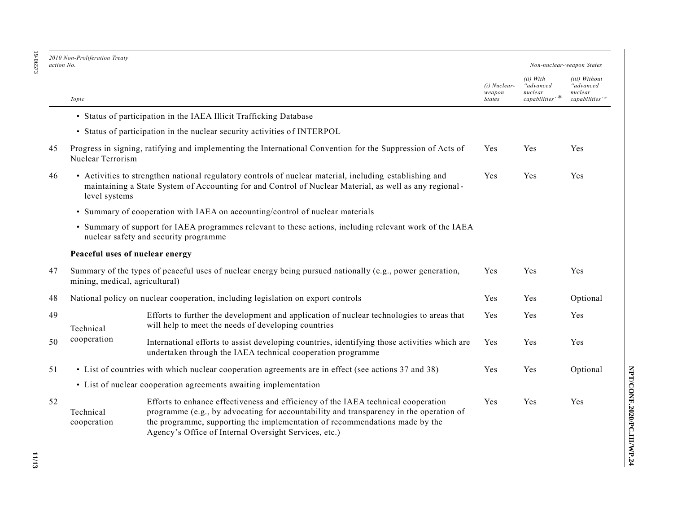| 2010 Non-Proliferation Treaty |  |
|-------------------------------|--|
| action No.                    |  |

| ۵  |  |
|----|--|
|    |  |
|    |  |
| Ξ  |  |
| с  |  |
|    |  |
| ŗ. |  |
|    |  |

| (i) Nuclear-<br>weapon<br><b>States</b><br>Yes<br>Yes                                                   | (ii) With<br>"advanced<br>nuclear<br>$capabilities$ "*<br>Yes<br>Yes | (iii) Without<br>"advanced<br>nuclear<br>capabilities" <sup>a</sup><br>Yes<br>Yes |
|---------------------------------------------------------------------------------------------------------|----------------------------------------------------------------------|-----------------------------------------------------------------------------------|
|                                                                                                         |                                                                      |                                                                                   |
|                                                                                                         |                                                                      |                                                                                   |
|                                                                                                         |                                                                      |                                                                                   |
|                                                                                                         |                                                                      |                                                                                   |
|                                                                                                         |                                                                      |                                                                                   |
|                                                                                                         |                                                                      |                                                                                   |
| • Summary of support for IAEA programmes relevant to these actions, including relevant work of the IAEA |                                                                      |                                                                                   |
|                                                                                                         |                                                                      |                                                                                   |
| Yes                                                                                                     | Yes                                                                  | Yes                                                                               |
| Yes                                                                                                     | Yes                                                                  | Optional                                                                          |
| Yes                                                                                                     | Yes                                                                  | Yes                                                                               |
| Yes                                                                                                     | Yes                                                                  | Yes                                                                               |
| Yes                                                                                                     | Yes                                                                  | Optional                                                                          |
|                                                                                                         |                                                                      |                                                                                   |
| Yes                                                                                                     | Yes                                                                  | Yes                                                                               |
|                                                                                                         |                                                                      |                                                                                   |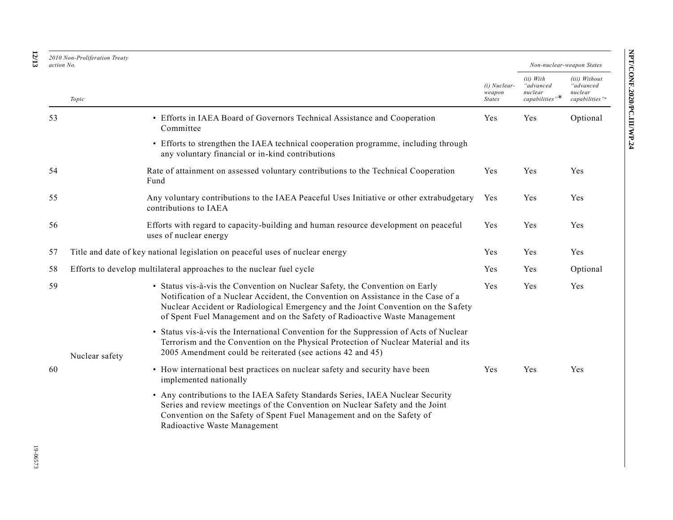| action No. | 2010 Non-Proliferation Treaty |                                                                                                                                                                                                                                                                                                                                      |                                         |                                                        | Non-nuclear-weapon States                                           |
|------------|-------------------------------|--------------------------------------------------------------------------------------------------------------------------------------------------------------------------------------------------------------------------------------------------------------------------------------------------------------------------------------|-----------------------------------------|--------------------------------------------------------|---------------------------------------------------------------------|
|            | Topic                         |                                                                                                                                                                                                                                                                                                                                      | (i) Nuclear-<br>weapon<br><b>States</b> | (ii) With<br>"advanced<br>nuclear<br>$capabilities$ "* | (iii) Without<br>"advanced<br>nuclear<br>capabilities" <sup>a</sup> |
| 53         |                               | • Efforts in IAEA Board of Governors Technical Assistance and Cooperation<br>Committee                                                                                                                                                                                                                                               | Yes                                     | Yes                                                    | Optional                                                            |
|            |                               | • Efforts to strengthen the IAEA technical cooperation programme, including through<br>any voluntary financial or in-kind contributions                                                                                                                                                                                              |                                         |                                                        |                                                                     |
| 54         |                               | Rate of attainment on assessed voluntary contributions to the Technical Cooperation<br>Fund                                                                                                                                                                                                                                          | Yes                                     | Yes                                                    | Yes                                                                 |
| 55         |                               | Any voluntary contributions to the IAEA Peaceful Uses Initiative or other extrabudgetary<br>contributions to IAEA                                                                                                                                                                                                                    | Yes                                     | Yes                                                    | Yes                                                                 |
| 56         |                               | Efforts with regard to capacity-building and human resource development on peaceful<br>uses of nuclear energy                                                                                                                                                                                                                        | Yes                                     | Yes                                                    | Yes                                                                 |
| 57         |                               | Title and date of key national legislation on peaceful uses of nuclear energy                                                                                                                                                                                                                                                        | Yes                                     | Yes                                                    | Yes                                                                 |
| 58         |                               | Efforts to develop multilateral approaches to the nuclear fuel cycle                                                                                                                                                                                                                                                                 | Yes                                     | Yes                                                    | Optional                                                            |
| 59         |                               | • Status vis-à-vis the Convention on Nuclear Safety, the Convention on Early<br>Notification of a Nuclear Accident, the Convention on Assistance in the Case of a<br>Nuclear Accident or Radiological Emergency and the Joint Convention on the Safety<br>of Spent Fuel Management and on the Safety of Radioactive Waste Management | Yes                                     | Yes                                                    | Yes                                                                 |
|            | Nuclear safety                | • Status vis-à-vis the International Convention for the Suppression of Acts of Nuclear<br>Terrorism and the Convention on the Physical Protection of Nuclear Material and its<br>2005 Amendment could be reiterated (see actions 42 and 45)                                                                                          |                                         |                                                        |                                                                     |
| 60         |                               | • How international best practices on nuclear safety and security have been<br>implemented nationally                                                                                                                                                                                                                                | Yes                                     | Yes                                                    | Yes                                                                 |
|            |                               | • Any contributions to the IAEA Safety Standards Series, IAEA Nuclear Security<br>Series and review meetings of the Convention on Nuclear Safety and the Joint<br>Convention on the Safety of Spent Fuel Management and on the Safety of<br>Radioactive Waste Management                                                             |                                         |                                                        |                                                                     |

#### **12 /13**